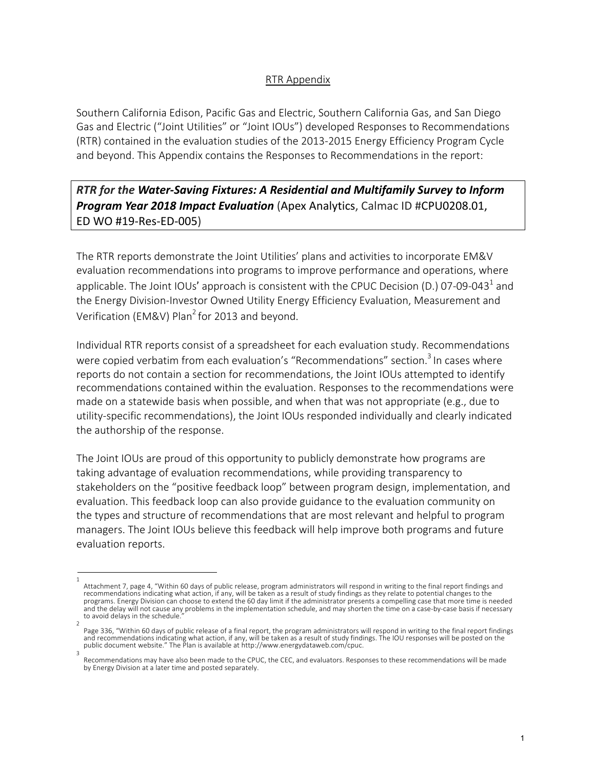## RTR Appendix

Southern California Edison, Pacific Gas and Electric, Southern California Gas, and San Diego Gas and Electric ("Joint Utilities" or "Joint IOUs") developed Responses to Recommendations (RTR) contained in the evaluation studies of the 2013-2015 Energy Efficiency Program Cycle and beyond. This Appendix contains the Responses to Recommendations in the report:

## *RTR for the Water-Saving Fixtures: A Residential and Multifamily Survey to Inform Program Year 2018 Impact Evaluation* (Apex Analytics, Calmac ID #CPU0208.01, ED WO #19-Res-ED-005)

The RTR reports demonstrate the Joint Utilities' plans and activities to incorporate EM&V evaluation recommendations into programs to improve performance and operations, where applicable. The Joint IOUs' approach is consistent with the CPUC Decision (D.) 07-09-043<sup>1</sup> and the Energy Division-Investor Owned Utility Energy Efficiency Evaluation, Measurement and Verification (EM&V) Plan<sup>2</sup> for 2013 and beyond.

Individual RTR reports consist of a spreadsheet for each evaluation study. Recommendations were copied verbatim from each evaluation's "Recommendations" section.<sup>3</sup> In cases where reports do not contain a section for recommendations, the Joint IOUs attempted to identify recommendations contained within the evaluation. Responses to the recommendations were made on a statewide basis when possible, and when that was not appropriate (e.g., due to utility-specific recommendations), the Joint IOUs responded individually and clearly indicated the authorship of the response.

The Joint IOUs are proud of this opportunity to publicly demonstrate how programs are taking advantage of evaluation recommendations, while providing transparency to stakeholders on the "positive feedback loop" between program design, implementation, and evaluation. This feedback loop can also provide guidance to the evaluation community on the types and structure of recommendations that are most relevant and helpful to program managers. The Joint IOUs believe this feedback will help improve both programs and future evaluation reports.

3

<sup>1</sup> Attachment 7, page 4, "Within 60 days of public release, program administrators will respond in writing to the final report findings and recommendations indicating what action, if any, will be taken as a result of study findings as they relate to potential changes to the programs. Energy Division can choose to extend the 60 day limit if the administrator presents a compelling case that more time is needed and the delay will not cause any problems in the implementation schedule, and may shorten the time on a case-by-case basis if necessary to avoid delays in the schedule.

<sup>2</sup> Page 336, "Within 60 days of public release of a final report, the program administrators will respond in writing to the final report findings<br>and recommendations indicating what action, if any, will be taken as a result o public document website." The Plan is available at http://www.energydataweb.com/cpuc.

Recommendations may have also been made to the CPUC, the CEC, and evaluators. Responses to these recommendations will be made by Energy Division at a later time and posted separately.